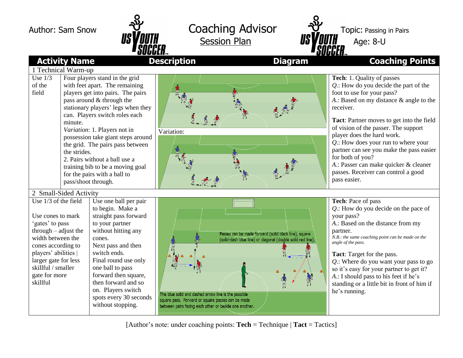



|                                                                                                                                                                                                                                        | UUUULII ™                                                                                                                                                                                                                                                                                                                                                                                                                                                        |                                                                                                                                                                     |                                                                                                                      | UUUUHIM                                                                                                                                                                                                                                                                                                                                                                                                                                                                                   |
|----------------------------------------------------------------------------------------------------------------------------------------------------------------------------------------------------------------------------------------|------------------------------------------------------------------------------------------------------------------------------------------------------------------------------------------------------------------------------------------------------------------------------------------------------------------------------------------------------------------------------------------------------------------------------------------------------------------|---------------------------------------------------------------------------------------------------------------------------------------------------------------------|----------------------------------------------------------------------------------------------------------------------|-------------------------------------------------------------------------------------------------------------------------------------------------------------------------------------------------------------------------------------------------------------------------------------------------------------------------------------------------------------------------------------------------------------------------------------------------------------------------------------------|
| <b>Activity Name</b>                                                                                                                                                                                                                   |                                                                                                                                                                                                                                                                                                                                                                                                                                                                  | <b>Description</b>                                                                                                                                                  | <b>Diagram</b>                                                                                                       | <b>Coaching Points</b>                                                                                                                                                                                                                                                                                                                                                                                                                                                                    |
| 1 Technical Warm-up                                                                                                                                                                                                                    |                                                                                                                                                                                                                                                                                                                                                                                                                                                                  |                                                                                                                                                                     |                                                                                                                      |                                                                                                                                                                                                                                                                                                                                                                                                                                                                                           |
| Use $1/3$<br>of the<br>field<br>minute.                                                                                                                                                                                                | Four players stand in the grid<br>with feet apart. The remaining<br>players get into pairs. The pairs<br>pass around & through the<br>stationary players' legs when they<br>can. Players switch roles each<br>Variation: 1. Players not in<br>possession take giant steps around<br>the grid. The pairs pass between<br>the strides.<br>2. Pairs without a ball use a<br>training bib to be a moving goal<br>for the pairs with a ball to<br>pass/shoot through. | Variation:                                                                                                                                                          |                                                                                                                      | Tech: 1. Quality of passes<br>$Q$ .: How do you decide the part of the<br>foot to use for your pass?<br>A.: Based on my distance & angle to the<br>receiver.<br>Tact: Partner moves to get into the field<br>of vision of the passer. The support<br>player does the hard work.<br>$Q$ .: How does your run to where your<br>partner can see you make the pass easier<br>for both of you?<br>A.: Passer can make quicker & cleaner<br>passes. Receiver can control a good<br>pass easier. |
| 2 Small-Sided Activity                                                                                                                                                                                                                 |                                                                                                                                                                                                                                                                                                                                                                                                                                                                  |                                                                                                                                                                     |                                                                                                                      |                                                                                                                                                                                                                                                                                                                                                                                                                                                                                           |
| Use $1/3$ of the field<br>Use cones to mark<br>'gates' to pass<br>$through - adjust the$<br>width between the<br>cones according to<br>players' abilities  <br>larger gate for less<br>skillful / smaller<br>gate for more<br>skillful | Use one ball per pair<br>to begin. Make a<br>straight pass forward<br>to your partner<br>without hitting any<br>cones.<br>Next pass and then<br>switch ends.<br>Final round use only<br>one ball to pass<br>forward then square,<br>then forward and so<br>on. Players switch<br>spots every 30 seconds<br>without stopping.                                                                                                                                     | The blue solid and dashed arrow line is the possible<br>square pass. Forward or square passes can be made<br>between pairs facing each other or beside one another. | Passes can be made forward (solid black line), square<br>(solid-dash blue line) or diagonal (double solid red line). | Tech: Pace of pass<br>Q.: How do you decide on the pace of<br>your pass?<br>A.: Based on the distance from my<br>partner.<br>N.B.: the same coaching point can be made on the<br>angle of the pass.<br><b>Tact:</b> Target for the pass.<br>$Q$ .: Where do you want your pass to go<br>so it's easy for your partner to get it?<br>A.: I should pass to his feet if he's<br>standing or a little bit in front of him if<br>he's running.                                                 |

[Author's note: under coaching points: **Tech** = Technique | **Tact** = Tactics]